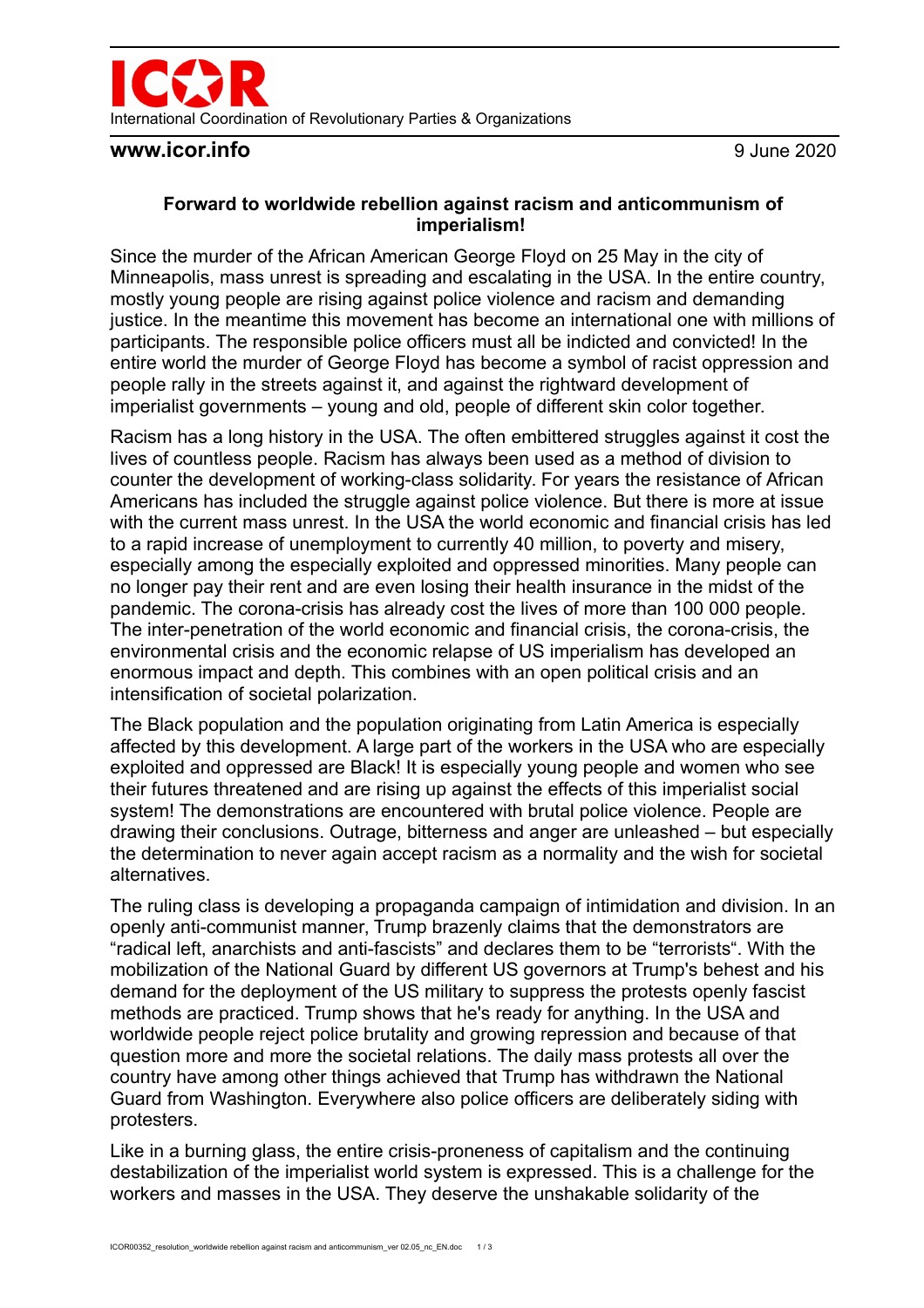

### **www.icor.info** 9 June 2020

### **Forward to worldwide rebellion against racism and anticommunism of imperialism!**

Since the murder of the African American George Floyd on 25 May in the city of Minneapolis, mass unrest is spreading and escalating in the USA. In the entire country, mostly young people are rising against police violence and racism and demanding justice. In the meantime this movement has become an international one with millions of participants. The responsible police officers must all be indicted and convicted! In the entire world the murder of George Floyd has become a symbol of racist oppression and people rally in the streets against it, and against the rightward development of imperialist governments – young and old, people of different skin color together.

Racism has a long history in the USA. The often embittered struggles against it cost the lives of countless people. Racism has always been used as a method of division to counter the development of working-class solidarity. For years the resistance of African Americans has included the struggle against police violence. But there is more at issue with the current mass unrest. In the USA the world economic and financial crisis has led to a rapid increase of unemployment to currently 40 million, to poverty and misery, especially among the especially exploited and oppressed minorities. Many people can no longer pay their rent and are even losing their health insurance in the midst of the pandemic. The corona-crisis has already cost the lives of more than 100 000 people. The inter-penetration of the world economic and financial crisis, the corona-crisis, the environmental crisis and the economic relapse of US imperialism has developed an enormous impact and depth. This combines with an open political crisis and an intensification of societal polarization.

The Black population and the population originating from Latin America is especially affected by this development. A large part of the workers in the USA who are especially exploited and oppressed are Black! It is especially young people and women who see their futures threatened and are rising up against the effects of this imperialist social system! The demonstrations are encountered with brutal police violence. People are drawing their conclusions. Outrage, bitterness and anger are unleashed – but especially the determination to never again accept racism as a normality and the wish for societal alternatives.

The ruling class is developing a propaganda campaign of intimidation and division. In an openly anti-communist manner, Trump brazenly claims that the demonstrators are "radical left, anarchists and anti-fascists" and declares them to be "terrorists". With the mobilization of the National Guard by different US governors at Trump's behest and his demand for the deployment of the US military to suppress the protests openly fascist methods are practiced. Trump shows that he's ready for anything. In the USA and worldwide people reject police brutality and growing repression and because of that question more and more the societal relations. The daily mass protests all over the country have among other things achieved that Trump has withdrawn the National Guard from Washington. Everywhere also police officers are deliberately siding with protesters.

Like in a burning glass, the entire crisis-proneness of capitalism and the continuing destabilization of the imperialist world system is expressed. This is a challenge for the workers and masses in the USA. They deserve the unshakable solidarity of the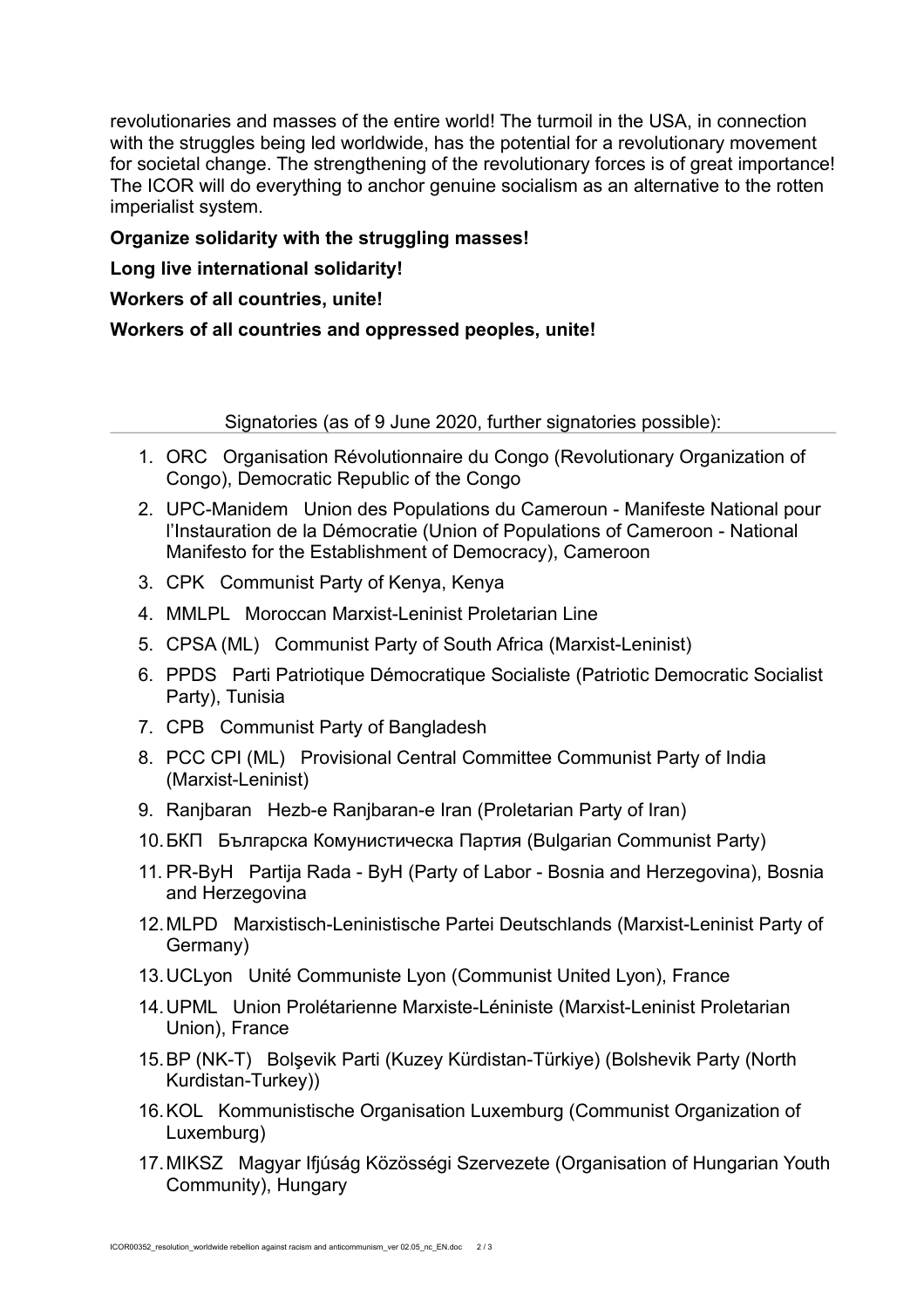revolutionaries and masses of the entire world! The turmoil in the USA, in connection with the struggles being led worldwide, has the potential for a revolutionary movement for societal change. The strengthening of the revolutionary forces is of great importance! The ICOR will do everything to anchor genuine socialism as an alternative to the rotten imperialist system.

# **Organize solidarity with the struggling masses!**

# **Long live international solidarity!**

# **Workers of all countries, unite!**

**Workers of all countries and oppressed peoples, unite!**

Signatories (as of 9 June 2020, further signatories possible):

- 1. ORC Organisation Révolutionnaire du Congo (Revolutionary Organization of Congo), Democratic Republic of the Congo
- 2. UPC-Manidem Union des Populations du Cameroun Manifeste National pour l'Instauration de la Démocratie (Union of Populations of Cameroon - National Manifesto for the Establishment of Democracy), Cameroon
- 3. CPK Communist Party of Kenya, Kenya
- 4. MMLPL Moroccan Marxist-Leninist Proletarian Line
- 5. CPSA (ML) Communist Party of South Africa (Marxist-Leninist)
- 6. PPDS Parti Patriotique Démocratique Socialiste (Patriotic Democratic Socialist Party), Tunisia
- 7. CPB Communist Party of Bangladesh
- 8. PCC CPI (ML) Provisional Central Committee Communist Party of India (Marxist-Leninist)
- 9. Ranjbaran Hezb-e Ranjbaran-e Iran (Proletarian Party of Iran)
- 10.БКП Българска Комунистическа Партия (Bulgarian Communist Party)
- 11. PR-ByH Partija Rada ByH (Party of Labor Bosnia and Herzegovina), Bosnia and Herzegovina
- 12.MLPD Marxistisch-Leninistische Partei Deutschlands (Marxist-Leninist Party of Germany)
- 13.UCLyon Unité Communiste Lyon (Communist United Lyon), France
- 14.UPML Union Prolétarienne Marxiste-Léniniste (Marxist-Leninist Proletarian Union), France
- 15.BP (NK-T) Bolşevik Parti (Kuzey Kürdistan-Türkiye) (Bolshevik Party (North Kurdistan-Turkey))
- 16.KOL Kommunistische Organisation Luxemburg (Communist Organization of Luxemburg)
- 17.MIKSZ Magyar Ifjúság Közösségi Szervezete (Organisation of Hungarian Youth Community), Hungary